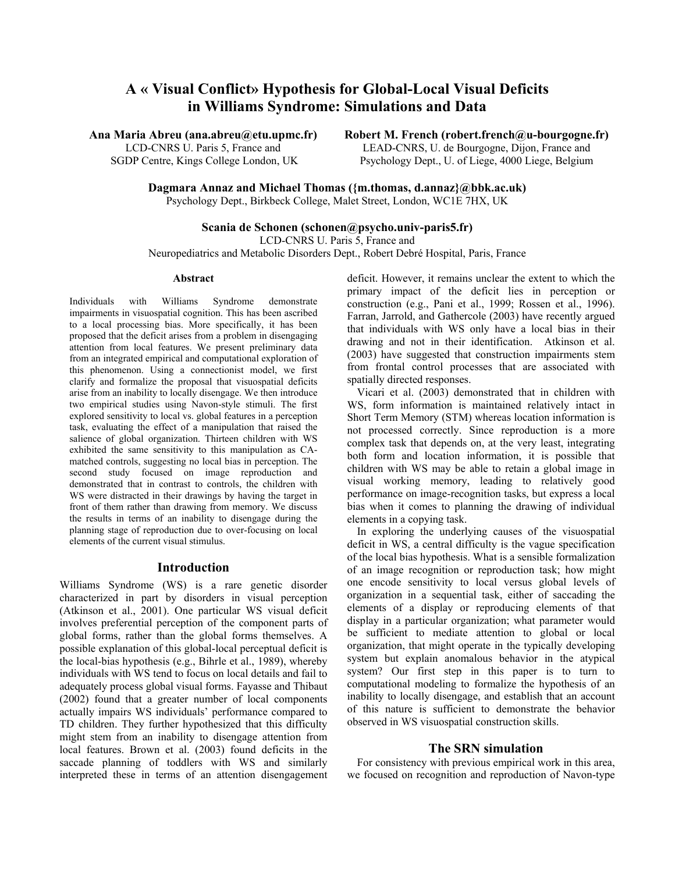# **A « Visual Conflict» Hypothesis for Global-Local Visual Deficits in Williams Syndrome: Simulations and Data**

**Ana Maria Abreu (ana.abreu@etu.upmc.fr)** 

LCD-CNRS U. Paris 5, France and SGDP Centre, Kings College London, UK **Robert M. French (robert.french@u-bourgogne.fr)** 

LEAD-CNRS, U. de Bourgogne, Dijon, France and Psychology Dept., U. of Liege, 4000 Liege, Belgium

**Dagmara Annaz and Michael Thomas ({m.thomas, d.annaz}@bbk.ac.uk)** 

Psychology Dept., Birkbeck College, Malet Street, London, WC1E 7HX, UK

# **Scania de Schonen (schonen@psycho.univ-paris5.fr)**

LCD-CNRS U. Paris 5, France and Neuropediatrics and Metabolic Disorders Dept., Robert Debré Hospital, Paris, France

#### **Abstract**

Individuals with Williams Syndrome demonstrate impairments in visuospatial cognition. This has been ascribed to a local processing bias. More specifically, it has been proposed that the deficit arises from a problem in disengaging attention from local features. We present preliminary data from an integrated empirical and computational exploration of this phenomenon. Using a connectionist model, we first clarify and formalize the proposal that visuospatial deficits arise from an inability to locally disengage. We then introduce two empirical studies using Navon-style stimuli. The first explored sensitivity to local vs. global features in a perception task, evaluating the effect of a manipulation that raised the salience of global organization. Thirteen children with WS exhibited the same sensitivity to this manipulation as CAmatched controls, suggesting no local bias in perception. The second study focused on image reproduction and demonstrated that in contrast to controls, the children with WS were distracted in their drawings by having the target in front of them rather than drawing from memory. We discuss the results in terms of an inability to disengage during the planning stage of reproduction due to over-focusing on local elements of the current visual stimulus.

# **Introduction**

Williams Syndrome (WS) is a rare genetic disorder characterized in part by disorders in visual perception (Atkinson et al., 2001). One particular WS visual deficit involves preferential perception of the component parts of global forms, rather than the global forms themselves. A possible explanation of this global-local perceptual deficit is the local-bias hypothesis (e.g., Bihrle et al., 1989), whereby individuals with WS tend to focus on local details and fail to adequately process global visual forms. Fayasse and Thibaut (2002) found that a greater number of local components actually impairs WS individuals' performance compared to TD children. They further hypothesized that this difficulty might stem from an inability to disengage attention from local features. Brown et al. (2003) found deficits in the saccade planning of toddlers with WS and similarly interpreted these in terms of an attention disengagement deficit. However, it remains unclear the extent to which the primary impact of the deficit lies in perception or construction (e.g., Pani et al., 1999; Rossen et al., 1996). Farran, Jarrold, and Gathercole (2003) have recently argued that individuals with WS only have a local bias in their drawing and not in their identification. Atkinson et al. (2003) have suggested that construction impairments stem from frontal control processes that are associated with spatially directed responses.

Vicari et al. (2003) demonstrated that in children with WS, form information is maintained relatively intact in Short Term Memory (STM) whereas location information is not processed correctly. Since reproduction is a more complex task that depends on, at the very least, integrating both form and location information, it is possible that children with WS may be able to retain a global image in visual working memory, leading to relatively good performance on image-recognition tasks, but express a local bias when it comes to planning the drawing of individual elements in a copying task.

In exploring the underlying causes of the visuospatial deficit in WS, a central difficulty is the vague specification of the local bias hypothesis. What is a sensible formalization of an image recognition or reproduction task; how might one encode sensitivity to local versus global levels of organization in a sequential task, either of saccading the elements of a display or reproducing elements of that display in a particular organization; what parameter would be sufficient to mediate attention to global or local organization, that might operate in the typically developing system but explain anomalous behavior in the atypical system? Our first step in this paper is to turn to computational modeling to formalize the hypothesis of an inability to locally disengage, and establish that an account of this nature is sufficient to demonstrate the behavior observed in WS visuospatial construction skills.

# **The SRN simulation**

For consistency with previous empirical work in this area, we focused on recognition and reproduction of Navon-type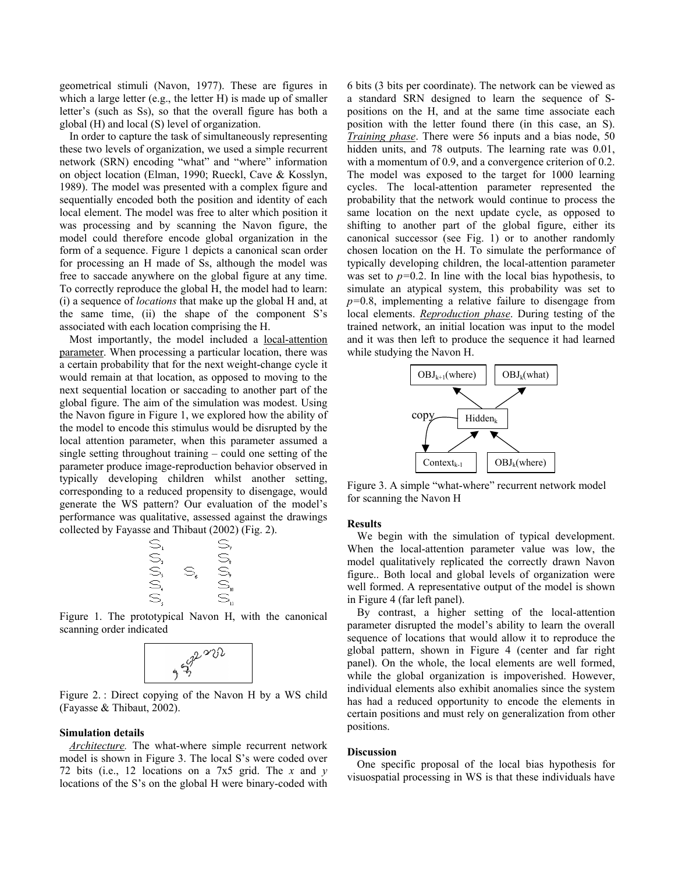geometrical stimuli (Navon, 1977). These are figures in which a large letter (e.g., the letter H) is made up of smaller letter's (such as Ss), so that the overall figure has both a global (H) and local (S) level of organization.

In order to capture the task of simultaneously representing these two levels of organization, we used a simple recurrent network (SRN) encoding "what" and "where" information on object location (Elman, 1990; Rueckl, Cave & Kosslyn, 1989). The model was presented with a complex figure and sequentially encoded both the position and identity of each local element. The model was free to alter which position it was processing and by scanning the Navon figure, the model could therefore encode global organization in the form of a sequence. Figure 1 depicts a canonical scan order for processing an H made of Ss, although the model was free to saccade anywhere on the global figure at any time. To correctly reproduce the global H, the model had to learn: (i) a sequence of *locations* that make up the global H and, at the same time, (ii) the shape of the component S's associated with each location comprising the H.

Most importantly, the model included a local-attention parameter. When processing a particular location, there was a certain probability that for the next weight-change cycle it would remain at that location, as opposed to moving to the next sequential location or saccading to another part of the global figure. The aim of the simulation was modest. Using the Navon figure in Figure 1, we explored how the ability of the model to encode this stimulus would be disrupted by the local attention parameter, when this parameter assumed a single setting throughout training – could one setting of the parameter produce image-reproduction behavior observed in typically developing children whilst another setting, corresponding to a reduced propensity to disengage, would generate the WS pattern? Our evaluation of the model's performance was qualitative, assessed against the drawings collected by Fayasse and Thibaut (2002) (Fig. 2).



Figure 1. The prototypical Navon H, with the canonical



Figure 2. : Direct copying of the Navon H by a WS child (Fayasse & Thibaut, 2002).

#### **Simulation details**

*Architecture.* The what-where simple recurrent network model is shown in Figure 3. The local S's were coded over 72 bits (i.e., 12 locations on a 7x5 grid. The *x* and *y*  locations of the S's on the global H were binary-coded with

6 bits (3 bits per coordinate). The network can be viewed as a standard SRN designed to learn the sequence of Spositions on the H, and at the same time associate each position with the letter found there (in this case, an S). *Training phase*. There were 56 inputs and a bias node, 50 hidden units, and 78 outputs. The learning rate was 0.01, with a momentum of 0.9, and a convergence criterion of 0.2. The model was exposed to the target for 1000 learning cycles. The local-attention parameter represented the probability that the network would continue to process the same location on the next update cycle, as opposed to shifting to another part of the global figure, either its canonical successor (see Fig. 1) or to another randomly chosen location on the H. To simulate the performance of typically developing children, the local-attention parameter was set to *p=*0.2. In line with the local bias hypothesis, to simulate an atypical system, this probability was set to *p=*0.8, implementing a relative failure to disengage from local elements. *Reproduction phase*. During testing of the trained network, an initial location was input to the model and it was then left to produce the sequence it had learned while studying the Navon H.



Figure 3. A simple "what-where" recurrent network model for scanning the Navon H

#### **Results**

We begin with the simulation of typical development. When the local-attention parameter value was low, the model qualitatively replicated the correctly drawn Navon figure.. Both local and global levels of organization were well formed. A representative output of the model is shown in Figure 4 (far left panel).

By contrast, a higher setting of the local-attention parameter disrupted the model's ability to learn the overall sequence of locations that would allow it to reproduce the global pattern, shown in Figure 4 (center and far right panel). On the whole, the local elements are well formed, while the global organization is impoverished. However, individual elements also exhibit anomalies since the system has had a reduced opportunity to encode the elements in certain positions and must rely on generalization from other positions.

### **Discussion**

One specific proposal of the local bias hypothesis for visuospatial processing in WS is that these individuals have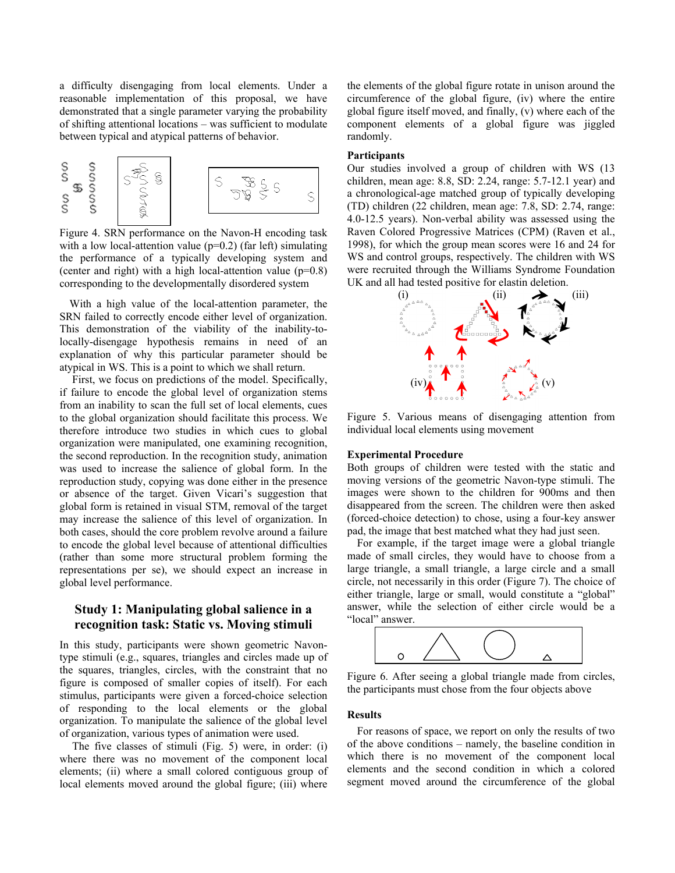a difficulty disengaging from local elements. Under a reasonable implementation of this proposal, we have demonstrated that a single parameter varying the probability of shifting attentional locations – was sufficient to modulate between typical and atypical patterns of behavior.



Figure 4. SRN performance on the Navon-H encoding task with a low local-attention value  $(p=0.2)$  (far left) simulating the performance of a typically developing system and (center and right) with a high local-attention value  $(p=0.8)$ corresponding to the developmentally disordered system

With a high value of the local-attention parameter, the SRN failed to correctly encode either level of organization. This demonstration of the viability of the inability-tolocally-disengage hypothesis remains in need of an explanation of why this particular parameter should be atypical in WS. This is a point to which we shall return.

 First, we focus on predictions of the model. Specifically, if failure to encode the global level of organization stems from an inability to scan the full set of local elements, cues to the global organization should facilitate this process. We therefore introduce two studies in which cues to global organization were manipulated, one examining recognition, the second reproduction. In the recognition study, animation was used to increase the salience of global form. In the reproduction study, copying was done either in the presence or absence of the target. Given Vicari's suggestion that global form is retained in visual STM, removal of the target may increase the salience of this level of organization. In both cases, should the core problem revolve around a failure to encode the global level because of attentional difficulties (rather than some more structural problem forming the representations per se), we should expect an increase in global level performance.

# **Study 1: Manipulating global salience in a recognition task: Static vs. Moving stimuli**

In this study, participants were shown geometric Navontype stimuli (e.g., squares, triangles and circles made up of the squares, triangles, circles, with the constraint that no figure is composed of smaller copies of itself). For each stimulus, participants were given a forced-choice selection of responding to the local elements or the global organization. To manipulate the salience of the global level of organization, various types of animation were used.

 The five classes of stimuli (Fig. 5) were, in order: (i) where there was no movement of the component local elements; (ii) where a small colored contiguous group of local elements moved around the global figure; (iii) where the elements of the global figure rotate in unison around the circumference of the global figure, (iv) where the entire global figure itself moved, and finally, (v) where each of the component elements of a global figure was jiggled randomly.

#### **Participants**

Our studies involved a group of children with WS (13 children, mean age: 8.8, SD: 2.24, range: 5.7-12.1 year) and a chronological-age matched group of typically developing (TD) children (22 children, mean age: 7.8, SD: 2.74, range: 4.0-12.5 years). Non-verbal ability was assessed using the Raven Colored Progressive Matrices (CPM) (Raven et al., 1998), for which the group mean scores were 16 and 24 for WS and control groups, respectively. The children with WS were recruited through the Williams Syndrome Foundation UK and all had tested positive for elastin deletion.



Figure 5. Various means of disengaging attention from individual local elements using movement

# **Experimental Procedure**

Both groups of children were tested with the static and moving versions of the geometric Navon-type stimuli. The images were shown to the children for 900ms and then disappeared from the screen. The children were then asked (forced-choice detection) to chose, using a four-key answer pad, the image that best matched what they had just seen.

For example, if the target image were a global triangle made of small circles, they would have to choose from a large triangle, a small triangle, a large circle and a small circle, not necessarily in this order (Figure 7). The choice of either triangle, large or small, would constitute a "global" answer, while the selection of either circle would be a "local" answer.



Figure 6. After seeing a global triangle made from circles, the participants must chose from the four objects above

#### **Results**

For reasons of space, we report on only the results of two of the above conditions – namely, the baseline condition in which there is no movement of the component local elements and the second condition in which a colored segment moved around the circumference of the global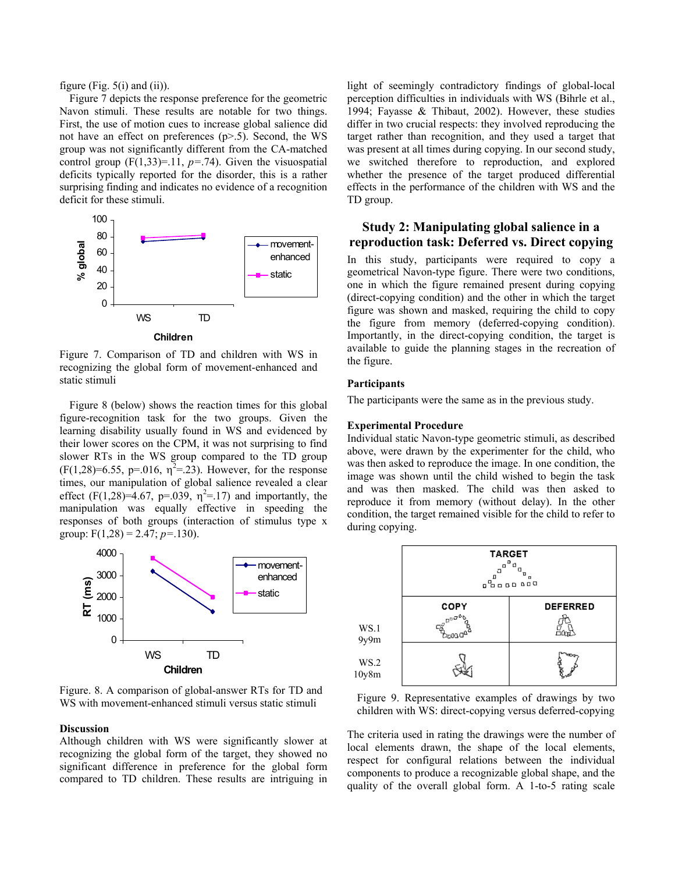figure (Fig.  $5(i)$  and (ii)).

Figure 7 depicts the response preference for the geometric Navon stimuli. These results are notable for two things. First, the use of motion cues to increase global salience did not have an effect on preferences (p>.5). Second, the WS group was not significantly different from the CA-matched control group (F(1,33)=.11, *p=*.74). Given the visuospatial deficits typically reported for the disorder, this is a rather surprising finding and indicates no evidence of a recognition deficit for these stimuli.



Figure 7. Comparison of TD and children with WS in recognizing the global form of movement-enhanced and static stimuli

Figure 8 (below) shows the reaction times for this global figure-recognition task for the two groups. Given the learning disability usually found in WS and evidenced by their lower scores on the CPM, it was not surprising to find slower RTs in the WS group compared to the TD group  $(F(1,28)=6.55, p=.016, \eta^2=.23)$ . However, for the response times, our manipulation of global salience revealed a clear effect (F(1,28)=4.67, p=.039,  $\eta^2$ =.17) and importantly, the manipulation was equally effective in speeding the responses of both groups (interaction of stimulus type x group: F(1,28) = 2.47; *p=*.130).



Figure. 8. A comparison of global-answer RTs for TD and WS with movement-enhanced stimuli versus static stimuli

# **Discussion**

Although children with WS were significantly slower at recognizing the global form of the target, they showed no significant difference in preference for the global form compared to TD children. These results are intriguing in light of seemingly contradictory findings of global-local perception difficulties in individuals with WS (Bihrle et al., 1994; Fayasse & Thibaut, 2002). However, these studies differ in two crucial respects: they involved reproducing the target rather than recognition, and they used a target that was present at all times during copying. In our second study, we switched therefore to reproduction, and explored whether the presence of the target produced differential effects in the performance of the children with WS and the TD group.

# **Study 2: Manipulating global salience in a reproduction task: Deferred vs. Direct copying**

In this study, participants were required to copy a geometrical Navon-type figure. There were two conditions, one in which the figure remained present during copying (direct-copying condition) and the other in which the target figure was shown and masked, requiring the child to copy the figure from memory (deferred-copying condition). Importantly, in the direct-copying condition, the target is available to guide the planning stages in the recreation of the figure.

# **Participants**

The participants were the same as in the previous study.

# **Experimental Procedure**

Individual static Navon-type geometric stimuli, as described above, were drawn by the experimenter for the child, who was then asked to reproduce the image. In one condition, the image was shown until the child wished to begin the task and was then masked. The child was then asked to reproduce it from memory (without delay). In the other condition, the target remained visible for the child to refer to during copying.



Figure 9. Representative examples of drawings by two children with WS: direct-copying versus deferred-copying

The criteria used in rating the drawings were the number of local elements drawn, the shape of the local elements, respect for configural relations between the individual components to produce a recognizable global shape, and the quality of the overall global form. A 1-to-5 rating scale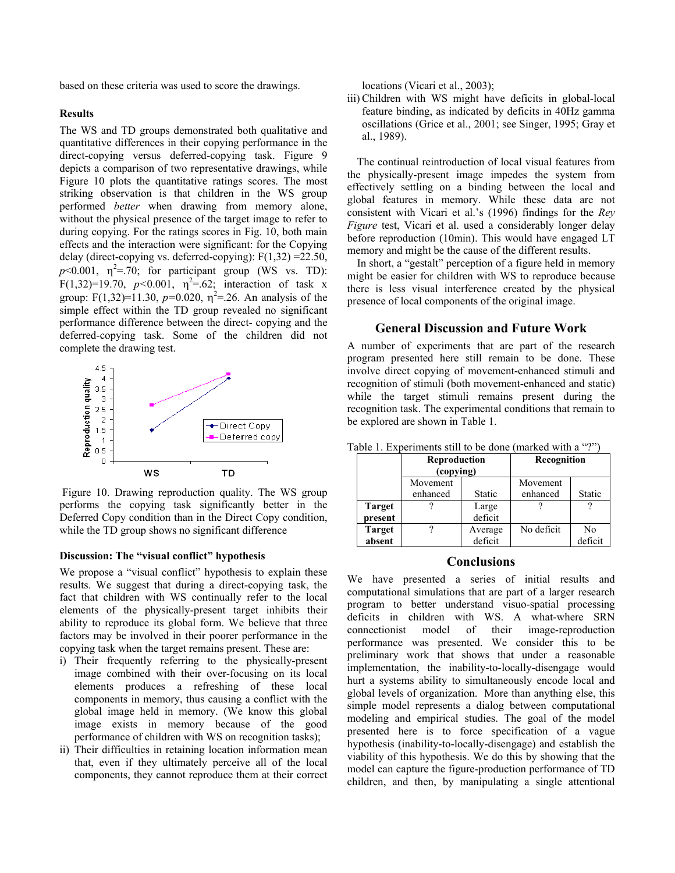based on these criteria was used to score the drawings.

#### **Results**

The WS and TD groups demonstrated both qualitative and quantitative differences in their copying performance in the direct-copying versus deferred-copying task. Figure 9 depicts a comparison of two representative drawings, while Figure 10 plots the quantitative ratings scores. The most striking observation is that children in the WS group performed *better* when drawing from memory alone, without the physical presence of the target image to refer to during copying. For the ratings scores in Fig. 10, both main effects and the interaction were significant: for the Copying delay (direct-copying vs. deferred-copying):  $F(1,32) = 22.50$ ,  $p$ <0.001,  $\eta^2$ =.70; for participant group (WS vs. TD):  $F(1,32)=19.70$ ,  $p<0.001$ ,  $\eta^2=62$ ; interaction of task x group: F(1,32)=11.30,  $p=0.020$ ,  $\eta^2 = 26$ . An analysis of the simple effect within the TD group revealed no significant performance difference between the direct- copying and the deferred-copying task. Some of the children did not complete the drawing test.



 Figure 10. Drawing reproduction quality. The WS group performs the copying task significantly better in the Deferred Copy condition than in the Direct Copy condition, while the TD group shows no significant difference

#### **Discussion: The "visual conflict" hypothesis**

We propose a "visual conflict" hypothesis to explain these results. We suggest that during a direct-copying task, the fact that children with WS continually refer to the local elements of the physically-present target inhibits their ability to reproduce its global form. We believe that three factors may be involved in their poorer performance in the copying task when the target remains present. These are:

- i) Their frequently referring to the physically-present image combined with their over-focusing on its local elements produces a refreshing of these local components in memory, thus causing a conflict with the global image held in memory. (We know this global image exists in memory because of the good performance of children with WS on recognition tasks);
- ii) Their difficulties in retaining location information mean that, even if they ultimately perceive all of the local components, they cannot reproduce them at their correct

locations (Vicari et al., 2003);

iii) Children with WS might have deficits in global-local feature binding, as indicated by deficits in 40Hz gamma oscillations (Grice et al., 2001; see Singer, 1995; Gray et al., 1989).

The continual reintroduction of local visual features from the physically-present image impedes the system from effectively settling on a binding between the local and global features in memory. While these data are not consistent with Vicari et al.'s (1996) findings for the *Rey Figure* test, Vicari et al. used a considerably longer delay before reproduction (10min). This would have engaged LT memory and might be the cause of the different results.

In short, a "gestalt" perception of a figure held in memory might be easier for children with WS to reproduce because there is less visual interference created by the physical presence of local components of the original image.

#### **General Discussion and Future Work**

A number of experiments that are part of the research program presented here still remain to be done. These involve direct copying of movement-enhanced stimuli and recognition of stimuli (both movement-enhanced and static) while the target stimuli remains present during the recognition task. The experimental conditions that remain to be explored are shown in Table 1.

|               | <b>Reproduction</b><br>(copying) |         | Recognition |         |
|---------------|----------------------------------|---------|-------------|---------|
|               | Movement                         |         | Movement    |         |
|               | enhanced                         | Static  | enhanced    | Static  |
| <b>Target</b> |                                  | Large   |             |         |
| present       |                                  | deficit |             |         |
| <b>Target</b> |                                  | Average | No deficit  | No      |
| absent        |                                  | deficit |             | deficit |

Table 1. Experiments still to be done (marked with a "?")

#### **Conclusions**

We have presented a series of initial results and computational simulations that are part of a larger research program to better understand visuo-spatial processing deficits in children with WS. A what-where SRN connectionist model of their image-reproduction performance was presented. We consider this to be preliminary work that shows that under a reasonable implementation, the inability-to-locally-disengage would hurt a systems ability to simultaneously encode local and global levels of organization. More than anything else, this simple model represents a dialog between computational modeling and empirical studies. The goal of the model presented here is to force specification of a vague hypothesis (inability-to-locally-disengage) and establish the viability of this hypothesis. We do this by showing that the model can capture the figure-production performance of TD children, and then, by manipulating a single attentional